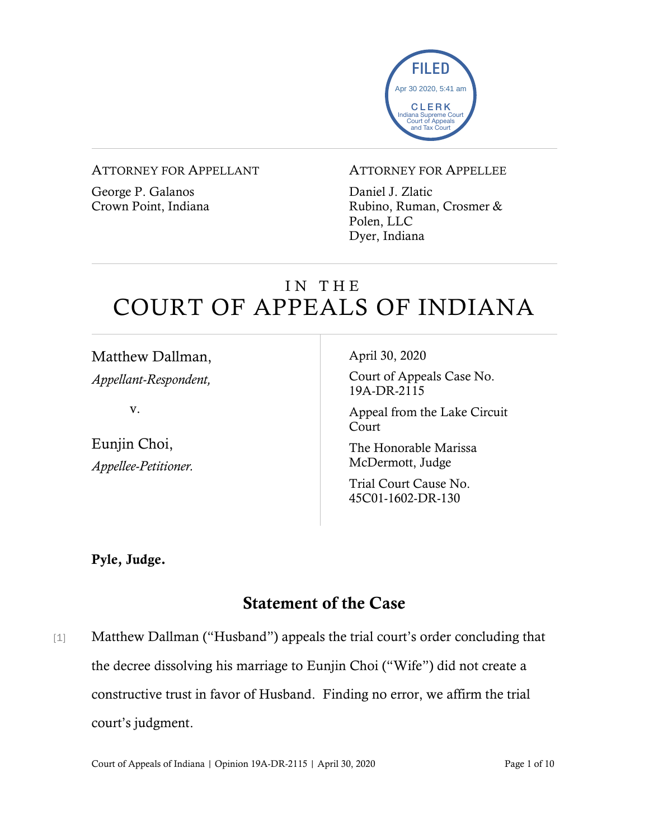

#### ATTORNEY FOR APPELLANT

George P. Galanos Crown Point, Indiana

#### ATTORNEY FOR APPELLEE

Daniel J. Zlatic Rubino, Ruman, Crosmer & Polen, LLC Dyer, Indiana

# IN THE COURT OF APPEALS OF INDIANA

Matthew Dallman, *Appellant-Respondent,*

v.

Eunjin Choi, *Appellee-Petitioner.* April 30, 2020

Court of Appeals Case No. 19A-DR-2115

Appeal from the Lake Circuit Court

The Honorable Marissa McDermott, Judge

Trial Court Cause No. 45C01-1602-DR-130

Pyle, Judge.

# Statement of the Case

[1] Matthew Dallman ("Husband") appeals the trial court's order concluding that the decree dissolving his marriage to Eunjin Choi ("Wife") did not create a constructive trust in favor of Husband. Finding no error, we affirm the trial court's judgment.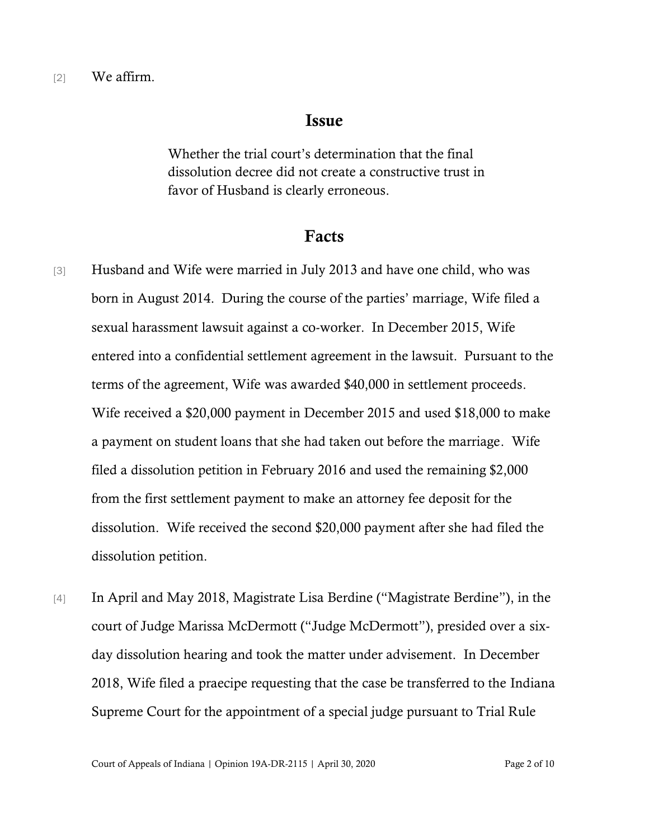### Issue

Whether the trial court's determination that the final dissolution decree did not create a constructive trust in favor of Husband is clearly erroneous.

### Facts

- [3] Husband and Wife were married in July 2013 and have one child, who was born in August 2014. During the course of the parties' marriage, Wife filed a sexual harassment lawsuit against a co-worker. In December 2015, Wife entered into a confidential settlement agreement in the lawsuit. Pursuant to the terms of the agreement, Wife was awarded \$40,000 in settlement proceeds. Wife received a \$20,000 payment in December 2015 and used \$18,000 to make a payment on student loans that she had taken out before the marriage. Wife filed a dissolution petition in February 2016 and used the remaining \$2,000 from the first settlement payment to make an attorney fee deposit for the dissolution. Wife received the second \$20,000 payment after she had filed the dissolution petition.
- [4] In April and May 2018, Magistrate Lisa Berdine ("Magistrate Berdine"), in the court of Judge Marissa McDermott ("Judge McDermott"), presided over a sixday dissolution hearing and took the matter under advisement. In December 2018, Wife filed a praecipe requesting that the case be transferred to the Indiana Supreme Court for the appointment of a special judge pursuant to Trial Rule

Court of Appeals of Indiana | Opinion 19A-DR-2115 | April 30, 2020 Page 2 of 10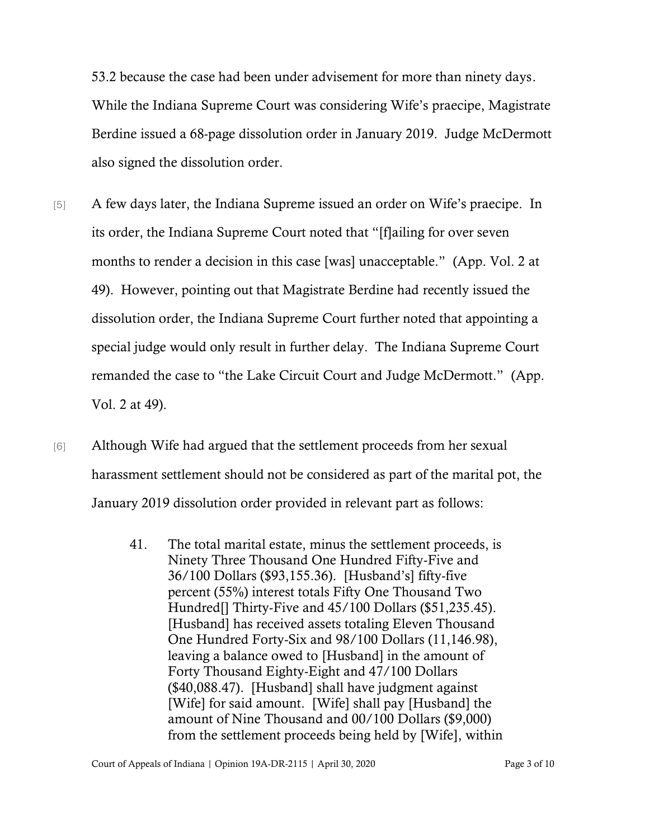53.2 because the case had been under advisement for more than ninety days. While the Indiana Supreme Court was considering Wife's praecipe, Magistrate Berdine issued a 68-page dissolution order in January 2019. Judge McDermott also signed the dissolution order.

- [5] A few days later, the Indiana Supreme issued an order on Wife's praecipe. In its order, the Indiana Supreme Court noted that "[f]ailing for over seven months to render a decision in this case [was] unacceptable." (App. Vol. 2 at 49). However, pointing out that Magistrate Berdine had recently issued the dissolution order, the Indiana Supreme Court further noted that appointing a special judge would only result in further delay. The Indiana Supreme Court remanded the case to "the Lake Circuit Court and Judge McDermott." (App. Vol. 2 at 49).
- [6] Although Wife had argued that the settlement proceeds from her sexual harassment settlement should not be considered as part of the marital pot, the January 2019 dissolution order provided in relevant part as follows:
	- 41. The total marital estate, minus the settlement proceeds, is Ninety Three Thousand One Hundred Fifty-Five and 36/100 Dollars (\$93,155.36). [Husband's] fifty-five percent (55%) interest totals Fifty One Thousand Two Hundred<sup>[]</sup> Thirty-Five and 45/100 Dollars (\$51,235.45). [Husband] has received assets totaling Eleven Thousand One Hundred Forty-Six and 98/100 Dollars (11,146.98), leaving a balance owed to [Husband] in the amount of Forty Thousand Eighty-Eight and 47/100 Dollars (\$40,088.47). [Husband] shall have judgment against [Wife] for said amount. [Wife] shall pay [Husband] the amount of Nine Thousand and 00/100 Dollars (\$9,000) from the settlement proceeds being held by [Wife], within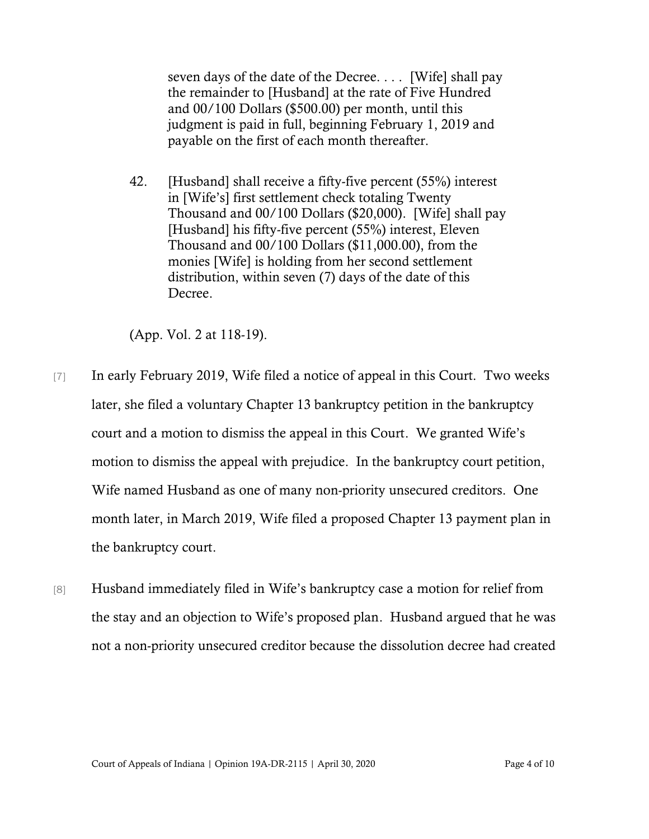seven days of the date of the Decree. . . . [Wife] shall pay the remainder to [Husband] at the rate of Five Hundred and 00/100 Dollars (\$500.00) per month, until this judgment is paid in full, beginning February 1, 2019 and payable on the first of each month thereafter.

42. [Husband] shall receive a fifty-five percent (55%) interest in [Wife's] first settlement check totaling Twenty Thousand and 00/100 Dollars (\$20,000). [Wife] shall pay [Husband] his fifty-five percent (55%) interest, Eleven Thousand and 00/100 Dollars (\$11,000.00), from the monies [Wife] is holding from her second settlement distribution, within seven (7) days of the date of this Decree.

(App. Vol. 2 at 118-19).

- [7] In early February 2019, Wife filed a notice of appeal in this Court. Two weeks later, she filed a voluntary Chapter 13 bankruptcy petition in the bankruptcy court and a motion to dismiss the appeal in this Court. We granted Wife's motion to dismiss the appeal with prejudice. In the bankruptcy court petition, Wife named Husband as one of many non-priority unsecured creditors. One month later, in March 2019, Wife filed a proposed Chapter 13 payment plan in the bankruptcy court.
- [8] Husband immediately filed in Wife's bankruptcy case a motion for relief from the stay and an objection to Wife's proposed plan. Husband argued that he was not a non-priority unsecured creditor because the dissolution decree had created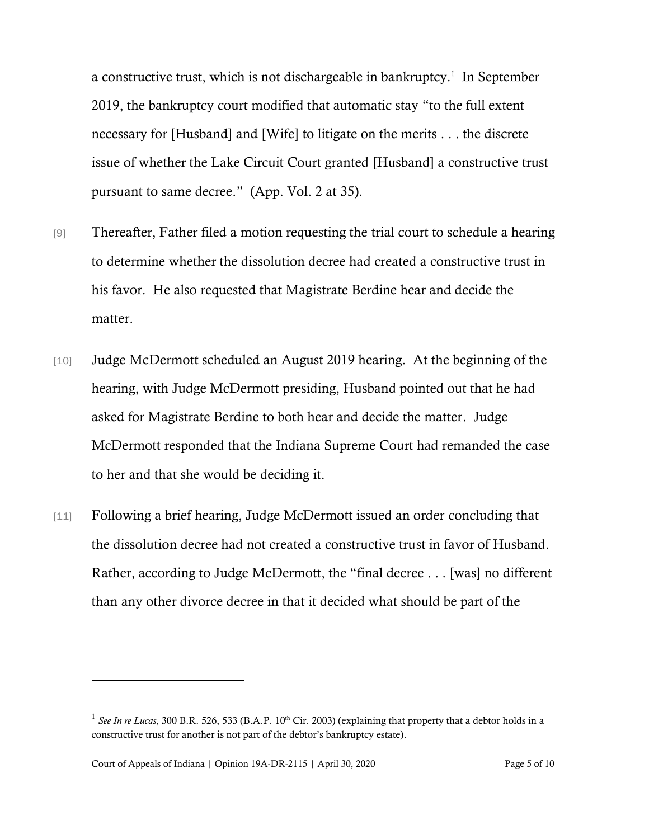a constructive trust, which is not dischargeable in bankruptcy.<sup>1</sup> In September 2019, the bankruptcy court modified that automatic stay "to the full extent necessary for [Husband] and [Wife] to litigate on the merits . . . the discrete issue of whether the Lake Circuit Court granted [Husband] a constructive trust pursuant to same decree." (App. Vol. 2 at 35).

- [9] Thereafter, Father filed a motion requesting the trial court to schedule a hearing to determine whether the dissolution decree had created a constructive trust in his favor. He also requested that Magistrate Berdine hear and decide the matter.
- [10] Judge McDermott scheduled an August 2019 hearing. At the beginning of the hearing, with Judge McDermott presiding, Husband pointed out that he had asked for Magistrate Berdine to both hear and decide the matter. Judge McDermott responded that the Indiana Supreme Court had remanded the case to her and that she would be deciding it.
- [11] Following a brief hearing, Judge McDermott issued an order concluding that the dissolution decree had not created a constructive trust in favor of Husband. Rather, according to Judge McDermott, the "final decree . . . [was] no different than any other divorce decree in that it decided what should be part of the

<sup>&</sup>lt;sup>1</sup> See In re Lucas, 300 B.R. 526, 533 (B.A.P. 10<sup>th</sup> Cir. 2003) (explaining that property that a debtor holds in a constructive trust for another is not part of the debtor's bankruptcy estate).

Court of Appeals of Indiana | Opinion 19A-DR-2115 | April 30, 2020 Page 5 of 10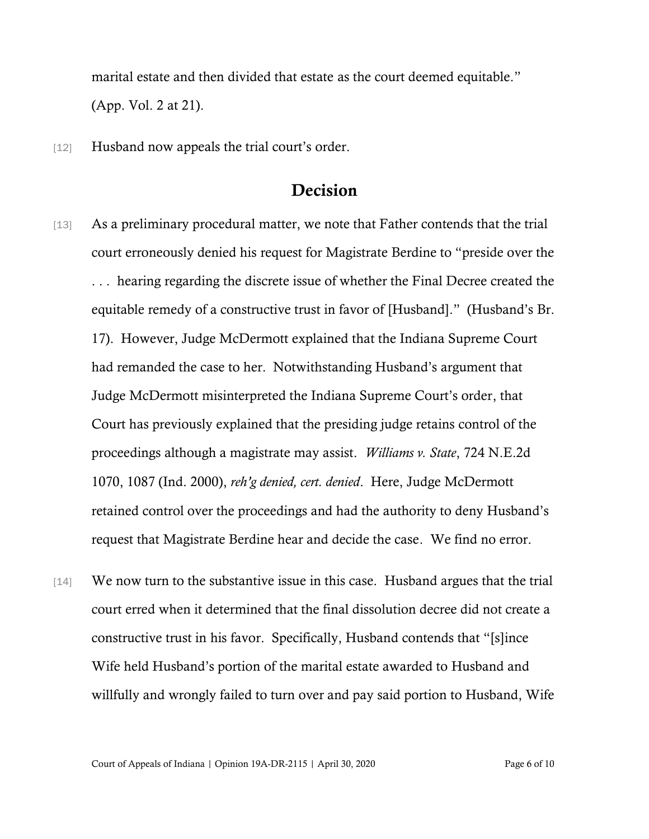marital estate and then divided that estate as the court deemed equitable." (App. Vol. 2 at 21).

[12] Husband now appeals the trial court's order.

## Decision

- [13] As a preliminary procedural matter, we note that Father contends that the trial court erroneously denied his request for Magistrate Berdine to "preside over the . . . hearing regarding the discrete issue of whether the Final Decree created the equitable remedy of a constructive trust in favor of [Husband]." (Husband's Br. 17). However, Judge McDermott explained that the Indiana Supreme Court had remanded the case to her. Notwithstanding Husband's argument that Judge McDermott misinterpreted the Indiana Supreme Court's order, that Court has previously explained that the presiding judge retains control of the proceedings although a magistrate may assist. *Williams v. State*, 724 N.E.2d 1070, 1087 (Ind. 2000), *reh'g denied, cert. denied*. Here, Judge McDermott retained control over the proceedings and had the authority to deny Husband's request that Magistrate Berdine hear and decide the case. We find no error.
- [14] We now turn to the substantive issue in this case. Husband argues that the trial court erred when it determined that the final dissolution decree did not create a constructive trust in his favor. Specifically, Husband contends that "[s]ince Wife held Husband's portion of the marital estate awarded to Husband and willfully and wrongly failed to turn over and pay said portion to Husband, Wife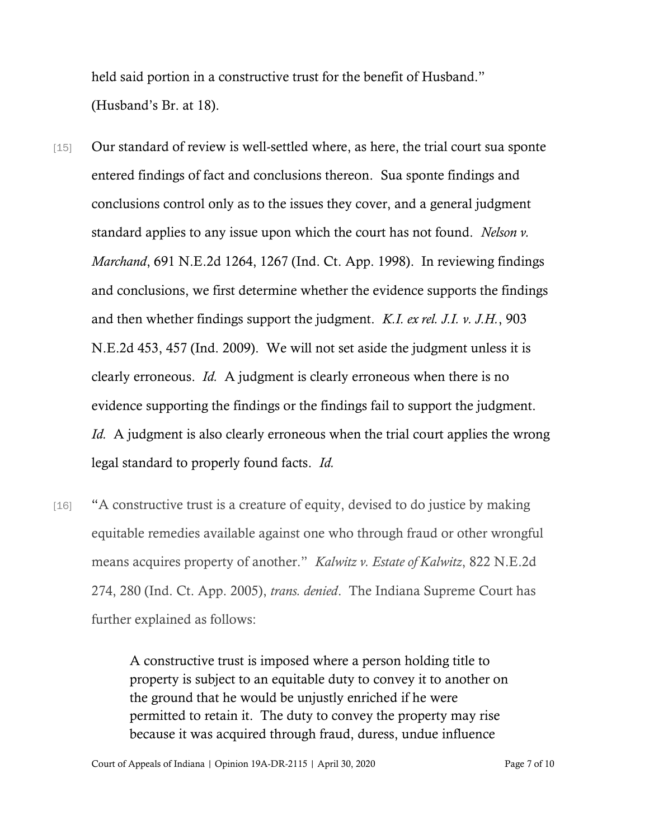held said portion in a constructive trust for the benefit of Husband." (Husband's Br. at 18).

- [15] Our standard of review is well-settled where, as here, the trial court sua sponte entered findings of fact and conclusions thereon. Sua sponte findings and conclusions control only as to the issues they cover, and a general judgment standard applies to any issue upon which the court has not found. *[Nelson v.](https://1.next.westlaw.com/Link/Document/FullText?findType=Y&serNum=1998058271&pubNum=0000578&originatingDoc=I4e284d00fc0911e9afed88dcf8854b30&refType=RP&fi=co_pp_sp_578_1267&originationContext=document&transitionType=DocumentItem&contextData=(sc.Search)#co_pp_sp_578_1267)  Marchand*[, 691 N.E.2d 1264, 1267 \(Ind. Ct. App. 1998\).](https://1.next.westlaw.com/Link/Document/FullText?findType=Y&serNum=1998058271&pubNum=0000578&originatingDoc=I4e284d00fc0911e9afed88dcf8854b30&refType=RP&fi=co_pp_sp_578_1267&originationContext=document&transitionType=DocumentItem&contextData=(sc.Search)#co_pp_sp_578_1267) In reviewing findings and conclusions, we first determine whether the evidence supports the findings and then whether findings support the judgment. *[K.I. ex rel. J.I. v. J.H.](https://1.next.westlaw.com/Link/Document/FullText?findType=Y&serNum=2018485549&pubNum=0000578&originatingDoc=I4e284d00fc0911e9afed88dcf8854b30&refType=RP&fi=co_pp_sp_578_457&originationContext=document&transitionType=DocumentItem&contextData=(sc.Search)#co_pp_sp_578_457)*, 903 [N.E.2d 453, 457 \(Ind. 2009\).](https://1.next.westlaw.com/Link/Document/FullText?findType=Y&serNum=2018485549&pubNum=0000578&originatingDoc=I4e284d00fc0911e9afed88dcf8854b30&refType=RP&fi=co_pp_sp_578_457&originationContext=document&transitionType=DocumentItem&contextData=(sc.Search)#co_pp_sp_578_457) We will not set aside the judgment unless it is clearly erroneous. *[Id.](https://1.next.westlaw.com/Link/Document/FullText?findType=Y&serNum=2018485549&pubNum=0000578&originatingDoc=I4e284d00fc0911e9afed88dcf8854b30&refType=RP&originationContext=document&transitionType=DocumentItem&contextData=(sc.Search))* A judgment is clearly erroneous when there is no evidence supporting the findings or the findings fail to support the judgment. *[Id.](https://1.next.westlaw.com/Link/Document/FullText?findType=Y&serNum=2018485549&pubNum=0000578&originatingDoc=I4e284d00fc0911e9afed88dcf8854b30&refType=RP&originationContext=document&transitionType=DocumentItem&contextData=(sc.Search))* A judgment is also clearly erroneous when the trial court applies the wrong legal standard to properly found facts. *[Id.](https://1.next.westlaw.com/Link/Document/FullText?findType=Y&serNum=2018485549&pubNum=0000578&originatingDoc=I4e284d00fc0911e9afed88dcf8854b30&refType=RP&originationContext=document&transitionType=DocumentItem&contextData=(sc.Search))*
- [16] "A constructive trust is a creature of equity, devised to do justice by making equitable remedies available against one who through fraud or other wrongful means acquires property of another." *Kalwitz v. Estate of Kalwitz*, 822 N.E.2d 274, 280 (Ind. Ct. App. 2005), *trans. denied*. The Indiana Supreme Court has further explained as follows:

A constructive trust is imposed where a person holding title to property is subject to an equitable duty to convey it to another on the ground that he would be unjustly enriched if he were permitted to retain it. The duty to convey the property may rise because it was acquired through fraud, duress, undue influence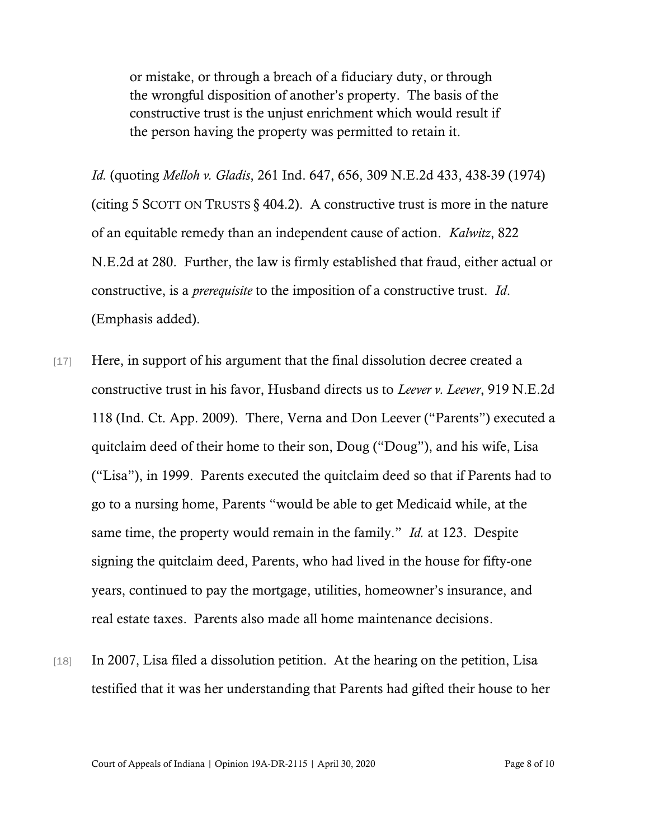or mistake, or through a breach of a fiduciary duty, or through the wrongful disposition of another's property. The basis of the constructive trust is the unjust enrichment which would result if the person having the property was permitted to retain it.

*Id.* (quoting *Melloh v. Gladis*, 261 Ind. 647, 656, 309 N.E.2d 433, 438-39 (1974) (citing 5 SCOTT ON TRUSTS  $\S$  404.2). A constructive trust is more in the nature of an equitable remedy than an independent cause of action. *Kalwitz*, 822 N.E.2d at 280. Further, the law is firmly established that fraud, either actual or constructive, is a *prerequisite* to the imposition of a constructive trust. *Id*. (Emphasis added).

- [17] Here, in support of his argument that the final dissolution decree created a constructive trust in his favor, Husband directs us to *Leever v. Leever*, 919 N.E.2d 118 (Ind. Ct. App. 2009). There, Verna and Don Leever ("Parents") executed a quitclaim deed of their home to their son, Doug ("Doug"), and his wife, Lisa ("Lisa"), in 1999. Parents executed the quitclaim deed so that if Parents had to go to a nursing home, Parents "would be able to get Medicaid while, at the same time, the property would remain in the family." *Id.* at 123. Despite signing the quitclaim deed, Parents, who had lived in the house for fifty-one years, continued to pay the mortgage, utilities, homeowner's insurance, and real estate taxes. Parents also made all home maintenance decisions.
- [18] In 2007, Lisa filed a dissolution petition. At the hearing on the petition, Lisa testified that it was her understanding that Parents had gifted their house to her

Court of Appeals of Indiana | Opinion 19A-DR-2115 | April 30, 2020 Page 8 of 10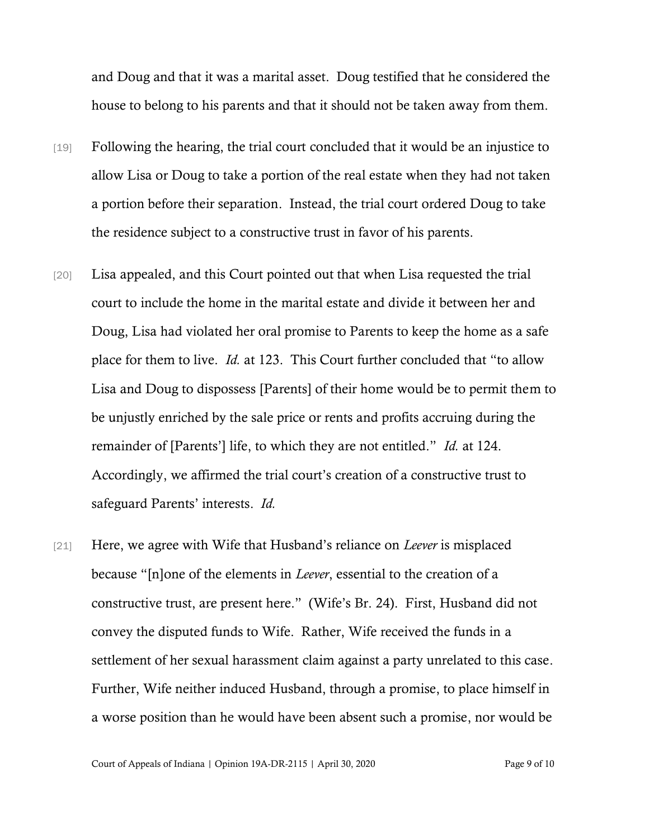and Doug and that it was a marital asset. Doug testified that he considered the house to belong to his parents and that it should not be taken away from them.

- [19] Following the hearing, the trial court concluded that it would be an injustice to allow Lisa or Doug to take a portion of the real estate when they had not taken a portion before their separation. Instead, the trial court ordered Doug to take the residence subject to a constructive trust in favor of his parents.
- [20] Lisa appealed, and this Court pointed out that when Lisa requested the trial court to include the home in the marital estate and divide it between her and Doug, Lisa had violated her oral promise to Parents to keep the home as a safe place for them to live. *Id.* at 123. This Court further concluded that "to allow Lisa and Doug to dispossess [Parents] of their home would be to permit them to be unjustly enriched by the sale price or rents and profits accruing during the remainder of [Parents'] life, to which they are not entitled." *Id.* at 124. Accordingly, we affirmed the trial court's creation of a constructive trust to safeguard Parents' interests. *Id.*
- [21] Here, we agree with Wife that Husband's reliance on *Leever* is misplaced because "[n]one of the elements in *Leever*, essential to the creation of a constructive trust, are present here." (Wife's Br. 24). First, Husband did not convey the disputed funds to Wife. Rather, Wife received the funds in a settlement of her sexual harassment claim against a party unrelated to this case. Further, Wife neither induced Husband, through a promise, to place himself in a worse position than he would have been absent such a promise, nor would be